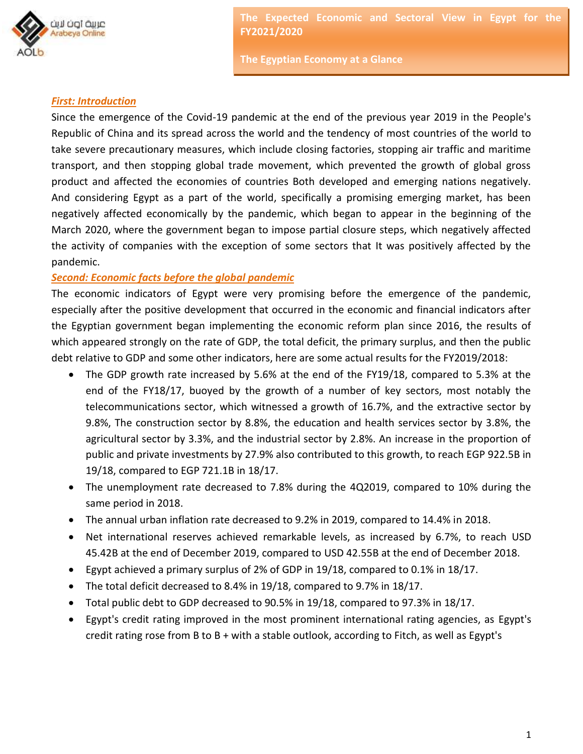

**The Egyptian Economy at a Glance**

#### *First: Introduction*

Since the emergence of the Covid-19 pandemic at the end of the previous year 2019 in the People's Republic of China and its spread across the world and the tendency of most countries of the world to take severe precautionary measures, which include closing factories, stopping air traffic and maritime transport, and then stopping global trade movement, which prevented the growth of global gross product and affected the economies of countries Both developed and emerging nations negatively. And considering Egypt as a part of the world, specifically a promising emerging market, has been negatively affected economically by the pandemic, which began to appear in the beginning of the March 2020, where the government began to impose partial closure steps, which negatively affected the activity of companies with the exception of some sectors that It was positively affected by the pandemic.

#### *Second: Economic facts before the global pandemic*

The economic indicators of Egypt were very promising before the emergence of the pandemic, especially after the positive development that occurred in the economic and financial indicators after the Egyptian government began implementing the economic reform plan since 2016, the results of which appeared strongly on the rate of GDP, the total deficit, the primary surplus, and then the public debt relative to GDP and some other indicators, here are some actual results for the FY2019/2018:

- The GDP growth rate increased by 5.6% at the end of the FY19/18, compared to 5.3% at the end of the FY18/17, buoyed by the growth of a number of key sectors, most notably the telecommunications sector, which witnessed a growth of 16.7%, and the extractive sector by 9.8%, The construction sector by 8.8%, the education and health services sector by 3.8%, the agricultural sector by 3.3%, and the industrial sector by 2.8%. An increase in the proportion of public and private investments by 27.9% also contributed to this growth, to reach EGP 922.5B in 19/18, compared to EGP 721.1B in 18/17.
- The unemployment rate decreased to 7.8% during the 4Q2019, compared to 10% during the same period in 2018.
- The annual urban inflation rate decreased to 9.2% in 2019, compared to 14.4% in 2018.
- Net international reserves achieved remarkable levels, as increased by 6.7%, to reach USD 45.42B at the end of December 2019, compared to USD 42.55B at the end of December 2018.
- Egypt achieved a primary surplus of 2% of GDP in 19/18, compared to 0.1% in 18/17.
- The total deficit decreased to 8.4% in 19/18, compared to 9.7% in 18/17.
- Total public debt to GDP decreased to 90.5% in 19/18, compared to 97.3% in 18/17.
- Egypt's credit rating improved in the most prominent international rating agencies, as Egypt's credit rating rose from B to B + with a stable outlook, according to Fitch, as well as Egypt's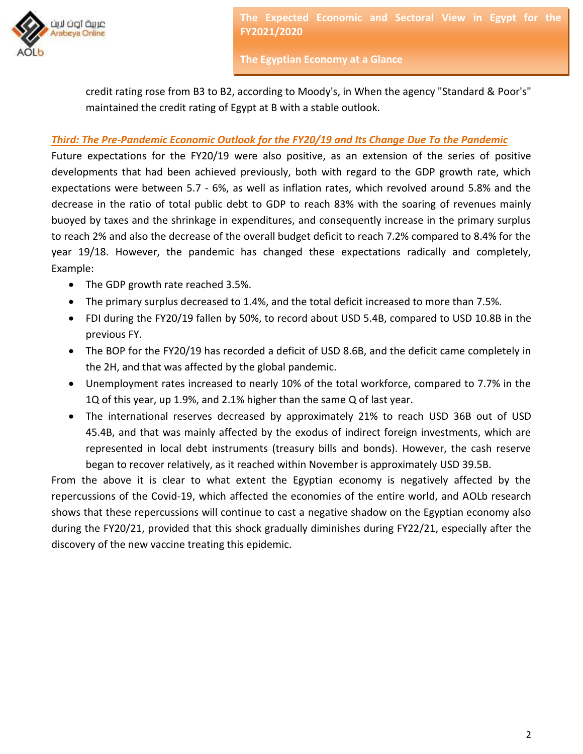

**The Egyptian Economy at a Glance**

credit rating rose from B3 to B2, according to Moody's, in When the agency "Standard & Poor's" maintained the credit rating of Egypt at B with a stable outlook.

### *Third: The Pre-Pandemic Economic Outlook for the FY20/19 and Its Change Due To the Pandemic*

Future expectations for the FY20/19 were also positive, as an extension of the series of positive developments that had been achieved previously, both with regard to the GDP growth rate, which expectations were between 5.7 - 6%, as well as inflation rates, which revolved around 5.8% and the decrease in the ratio of total public debt to GDP to reach 83% with the soaring of revenues mainly buoyed by taxes and the shrinkage in expenditures, and consequently increase in the primary surplus to reach 2% and also the decrease of the overall budget deficit to reach 7.2% compared to 8.4% for the year 19/18. However, the pandemic has changed these expectations radically and completely, Example:

- The GDP growth rate reached 3.5%.
- The primary surplus decreased to 1.4%, and the total deficit increased to more than 7.5%.
- FDI during the FY20/19 fallen by 50%, to record about USD 5.4B, compared to USD 10.8B in the previous FY.
- The BOP for the FY20/19 has recorded a deficit of USD 8.6B, and the deficit came completely in the 2H, and that was affected by the global pandemic.
- Unemployment rates increased to nearly 10% of the total workforce, compared to 7.7% in the 1Q of this year, up 1.9%, and 2.1% higher than the same Q of last year.
- The international reserves decreased by approximately 21% to reach USD 36B out of USD 45.4B, and that was mainly affected by the exodus of indirect foreign investments, which are represented in local debt instruments (treasury bills and bonds). However, the cash reserve began to recover relatively, as it reached within November is approximately USD 39.5B.

From the above it is clear to what extent the Egyptian economy is negatively affected by the repercussions of the Covid-19, which affected the economies of the entire world, and AOLb research shows that these repercussions will continue to cast a negative shadow on the Egyptian economy also during the FY20/21, provided that this shock gradually diminishes during FY22/21, especially after the discovery of the new vaccine treating this epidemic.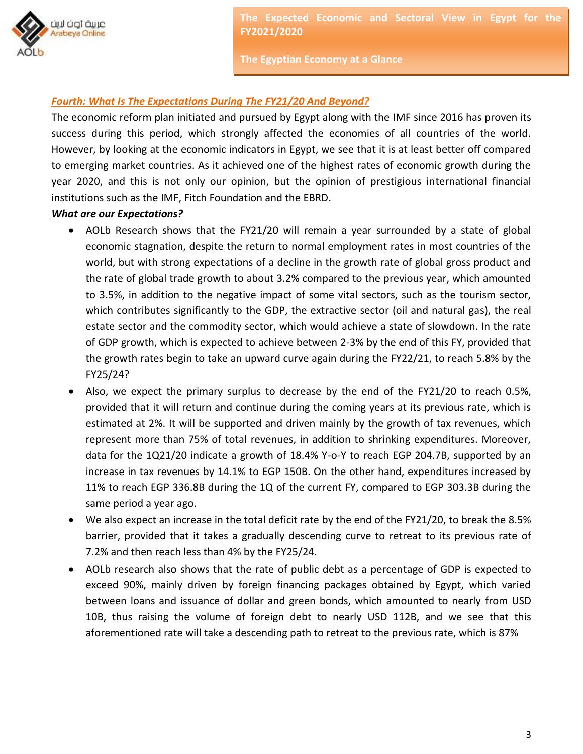

**The Egyptian Economy at a Glance**

# *Fourth: What Is The Expectations During The FY21/20 And Beyond?*

The economic reform plan initiated and pursued by Egypt along with the IMF since 2016 has proven its success during this period, which strongly affected the economies of all countries of the world. However, by looking at the economic indicators in Egypt, we see that it is at least better off compared to emerging market countries. As it achieved one of the highest rates of economic growth during the year 2020, and this is not only our opinion, but the opinion of prestigious international financial institutions such as the IMF, Fitch Foundation and the EBRD.

#### *What are our Expectations?*

- AOLb Research shows that the FY21/20 will remain a year surrounded by a state of global economic stagnation, despite the return to normal employment rates in most countries of the world, but with strong expectations of a decline in the growth rate of global gross product and the rate of global trade growth to about 3.2% compared to the previous year, which amounted to 3.5%, in addition to the negative impact of some vital sectors, such as the tourism sector, which contributes significantly to the GDP, the extractive sector (oil and natural gas), the real estate sector and the commodity sector, which would achieve a state of slowdown. In the rate of GDP growth, which is expected to achieve between 2-3% by the end of this FY, provided that the growth rates begin to take an upward curve again during the FY22/21, to reach 5.8% by the FY25/24?
- Also, we expect the primary surplus to decrease by the end of the FY21/20 to reach 0.5%, provided that it will return and continue during the coming years at its previous rate, which is estimated at 2%. It will be supported and driven mainly by the growth of tax revenues, which represent more than 75% of total revenues, in addition to shrinking expenditures. Moreover, data for the 1Q21/20 indicate a growth of 18.4% Y-o-Y to reach EGP 204.7B, supported by an increase in tax revenues by 14.1% to EGP 150B. On the other hand, expenditures increased by 11% to reach EGP 336.8B during the 1Q of the current FY, compared to EGP 303.3B during the same period a year ago.
- We also expect an increase in the total deficit rate by the end of the FY21/20, to break the 8.5% barrier, provided that it takes a gradually descending curve to retreat to its previous rate of 7.2% and then reach less than 4% by the FY25/24.
- AOLb research also shows that the rate of public debt as a percentage of GDP is expected to exceed 90%, mainly driven by foreign financing packages obtained by Egypt, which varied between loans and issuance of dollar and green bonds, which amounted to nearly from USD 10B, thus raising the volume of foreign debt to nearly USD 112B, and we see that this aforementioned rate will take a descending path to retreat to the previous rate, which is 87%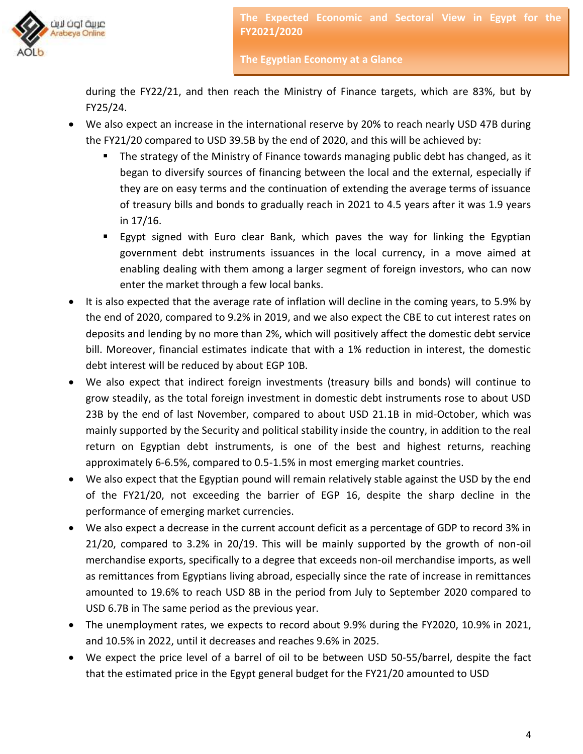

**The Egyptian Economy at a Glance**

during the FY22/21, and then reach the Ministry of Finance targets, which are 83%, but by FY25/24.

- We also expect an increase in the international reserve by 20% to reach nearly USD 47B during the FY21/20 compared to USD 39.5B by the end of 2020, and this will be achieved by:
	- The strategy of the Ministry of Finance towards managing public debt has changed, as it began to diversify sources of financing between the local and the external, especially if they are on easy terms and the continuation of extending the average terms of issuance of treasury bills and bonds to gradually reach in 2021 to 4.5 years after it was 1.9 years in 17/16.
	- Egypt signed with Euro clear Bank, which paves the way for linking the Egyptian government debt instruments issuances in the local currency, in a move aimed at enabling dealing with them among a larger segment of foreign investors, who can now enter the market through a few local banks.
- It is also expected that the average rate of inflation will decline in the coming years, to 5.9% by the end of 2020, compared to 9.2% in 2019, and we also expect the CBE to cut interest rates on deposits and lending by no more than 2%, which will positively affect the domestic debt service bill. Moreover, financial estimates indicate that with a 1% reduction in interest, the domestic debt interest will be reduced by about EGP 10B.
- We also expect that indirect foreign investments (treasury bills and bonds) will continue to grow steadily, as the total foreign investment in domestic debt instruments rose to about USD 23B by the end of last November, compared to about USD 21.1B in mid-October, which was mainly supported by the Security and political stability inside the country, in addition to the real return on Egyptian debt instruments, is one of the best and highest returns, reaching approximately 6-6.5%, compared to 0.5-1.5% in most emerging market countries.
- We also expect that the Egyptian pound will remain relatively stable against the USD by the end of the FY21/20, not exceeding the barrier of EGP 16, despite the sharp decline in the performance of emerging market currencies.
- We also expect a decrease in the current account deficit as a percentage of GDP to record 3% in 21/20, compared to 3.2% in 20/19. This will be mainly supported by the growth of non-oil merchandise exports, specifically to a degree that exceeds non-oil merchandise imports, as well as remittances from Egyptians living abroad, especially since the rate of increase in remittances amounted to 19.6% to reach USD 8B in the period from July to September 2020 compared to USD 6.7B in The same period as the previous year.
- The unemployment rates, we expects to record about 9.9% during the FY2020, 10.9% in 2021, and 10.5% in 2022, until it decreases and reaches 9.6% in 2025.
- We expect the price level of a barrel of oil to be between USD 50-55/barrel, despite the fact that the estimated price in the Egypt general budget for the FY21/20 amounted to USD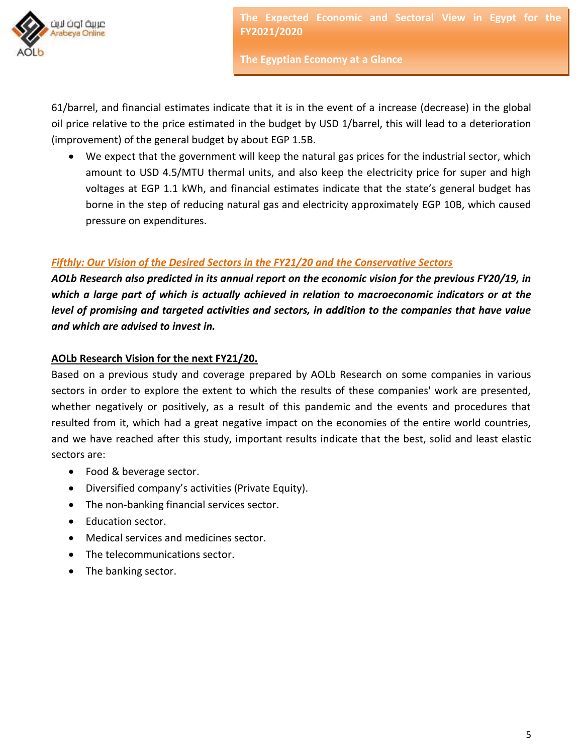

**The Egyptian Economy at a Glance**

61/barrel, and financial estimates indicate that it is in the event of a increase (decrease) in the global oil price relative to the price estimated in the budget by USD 1/barrel, this will lead to a deterioration (improvement) of the general budget by about EGP 1.5B.

 We expect that the government will keep the natural gas prices for the industrial sector, which amount to USD 4.5/MTU thermal units, and also keep the electricity price for super and high voltages at EGP 1.1 kWh, and financial estimates indicate that the state's general budget has borne in the step of reducing natural gas and electricity approximately EGP 10B, which caused pressure on expenditures.

# *Fifthly: Our Vision of the Desired Sectors in the FY21/20 and the Conservative Sectors*

*AOLb Research also predicted in its annual report on the economic vision for the previous FY20/19, in which a large part of which is actually achieved in relation to macroeconomic indicators or at the level of promising and targeted activities and sectors, in addition to the companies that have value and which are advised to invest in.*

## **AOLb Research Vision for the next FY21/20.**

Based on a previous study and coverage prepared by AOLb Research on some companies in various sectors in order to explore the extent to which the results of these companies' work are presented, whether negatively or positively, as a result of this pandemic and the events and procedures that resulted from it, which had a great negative impact on the economies of the entire world countries, and we have reached after this study, important results indicate that the best, solid and least elastic sectors are:

- Food & beverage sector.
- Diversified company's activities (Private Equity).
- The non-banking financial services sector.
- Education sector.
- Medical services and medicines sector.
- The telecommunications sector.
- The banking sector.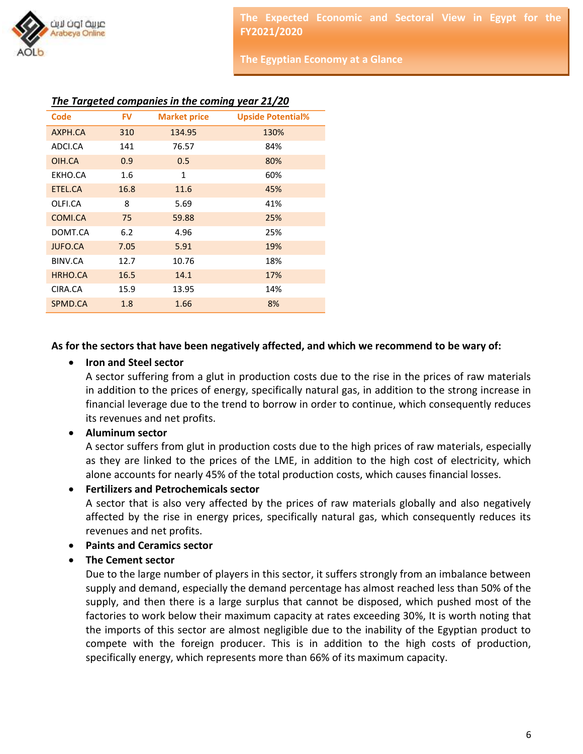

**The Egyptian Economy at a Glance**

|  |  |  |  |  |  | The Targeted companies in the coming year 21/20 |
|--|--|--|--|--|--|-------------------------------------------------|
|--|--|--|--|--|--|-------------------------------------------------|

| <b>Code</b>    | <b>FV</b> | <b>Market price</b> | <b>Upside Potential%</b> |
|----------------|-----------|---------------------|--------------------------|
| AXPH.CA        | 310       | 134.95              | 130%                     |
| ADCI.CA        | 141       | 76.57               | 84%                      |
| OIH.CA         | 0.9       | 0.5                 | 80%                      |
| EKHO.CA        | 1.6       | 1                   | 60%                      |
| ETEL.CA        | 16.8      | 11.6                | 45%                      |
| OLFI.CA        | 8         | 5.69                | 41%                      |
| COMI.CA        | 75        | 59.88               | 25%                      |
| DOMT.CA        | 6.2       | 4.96                | 25%                      |
| <b>JUFO.CA</b> | 7.05      | 5.91                | 19%                      |
| BINV.CA        | 12.7      | 10.76               | 18%                      |
| HRHO.CA        | 16.5      | 14.1                | 17%                      |
| CIRA.CA        | 15.9      | 13.95               | 14%                      |
| SPMD.CA        | 1.8       | 1.66                | 8%                       |

### **As for the sectors that have been negatively affected, and which we recommend to be wary of:**

### **Iron and Steel sector**

A sector suffering from a glut in production costs due to the rise in the prices of raw materials in addition to the prices of energy, specifically natural gas, in addition to the strong increase in financial leverage due to the trend to borrow in order to continue, which consequently reduces its revenues and net profits.

#### **Aluminum sector**

A sector suffers from glut in production costs due to the high prices of raw materials, especially as they are linked to the prices of the LME, in addition to the high cost of electricity, which alone accounts for nearly 45% of the total production costs, which causes financial losses.

#### **Fertilizers and Petrochemicals sector**

A sector that is also very affected by the prices of raw materials globally and also negatively affected by the rise in energy prices, specifically natural gas, which consequently reduces its revenues and net profits.

- **Paints and Ceramics sector**
- **The Cement sector**

Due to the large number of players in this sector, it suffers strongly from an imbalance between supply and demand, especially the demand percentage has almost reached less than 50% of the supply, and then there is a large surplus that cannot be disposed, which pushed most of the factories to work below their maximum capacity at rates exceeding 30%, It is worth noting that the imports of this sector are almost negligible due to the inability of the Egyptian product to compete with the foreign producer. This is in addition to the high costs of production, specifically energy, which represents more than 66% of its maximum capacity.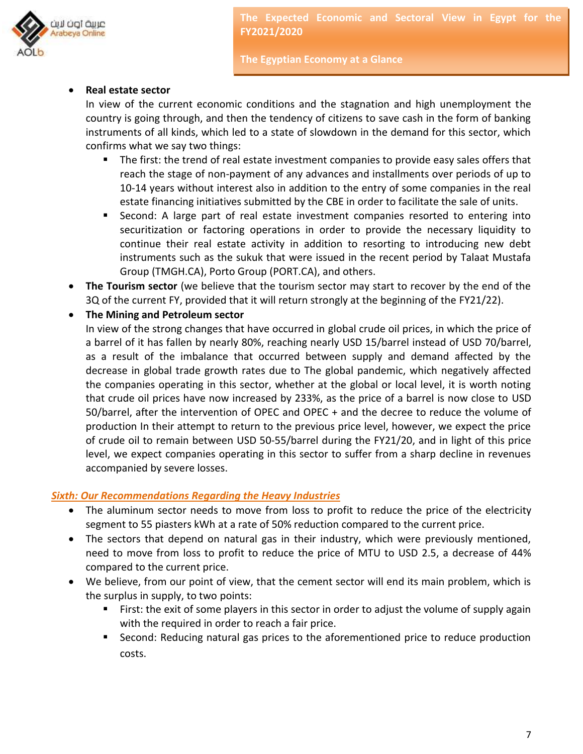

**The Egyptian Economy at a Glance**

### **Real estate sector**

In view of the current economic conditions and the stagnation and high unemployment the country is going through, and then the tendency of citizens to save cash in the form of banking instruments of all kinds, which led to a state of slowdown in the demand for this sector, which confirms what we say two things:

- The first: the trend of real estate investment companies to provide easy sales offers that reach the stage of non-payment of any advances and installments over periods of up to 10-14 years without interest also in addition to the entry of some companies in the real estate financing initiatives submitted by the CBE in order to facilitate the sale of units.
- Second: A large part of real estate investment companies resorted to entering into securitization or factoring operations in order to provide the necessary liquidity to continue their real estate activity in addition to resorting to introducing new debt instruments such as the sukuk that were issued in the recent period by Talaat Mustafa Group (TMGH.CA), Porto Group (PORT.CA), and others.
- **The Tourism sector** (we believe that the tourism sector may start to recover by the end of the 3Q of the current FY, provided that it will return strongly at the beginning of the FY21/22).

### **The Mining and Petroleum sector**

In view of the strong changes that have occurred in global crude oil prices, in which the price of a barrel of it has fallen by nearly 80%, reaching nearly USD 15/barrel instead of USD 70/barrel, as a result of the imbalance that occurred between supply and demand affected by the decrease in global trade growth rates due to The global pandemic, which negatively affected the companies operating in this sector, whether at the global or local level, it is worth noting that crude oil prices have now increased by 233%, as the price of a barrel is now close to USD 50/barrel, after the intervention of OPEC and OPEC + and the decree to reduce the volume of production In their attempt to return to the previous price level, however, we expect the price of crude oil to remain between USD 50-55/barrel during the FY21/20, and in light of this price level, we expect companies operating in this sector to suffer from a sharp decline in revenues accompanied by severe losses.

### *Sixth: Our Recommendations Regarding the Heavy Industries*

- The aluminum sector needs to move from loss to profit to reduce the price of the electricity segment to 55 piasters kWh at a rate of 50% reduction compared to the current price.
- The sectors that depend on natural gas in their industry, which were previously mentioned, need to move from loss to profit to reduce the price of MTU to USD 2.5, a decrease of 44% compared to the current price.
- We believe, from our point of view, that the cement sector will end its main problem, which is the surplus in supply, to two points:
	- First: the exit of some players in this sector in order to adjust the volume of supply again with the required in order to reach a fair price.
	- **Second: Reducing natural gas prices to the aforementioned price to reduce production** costs.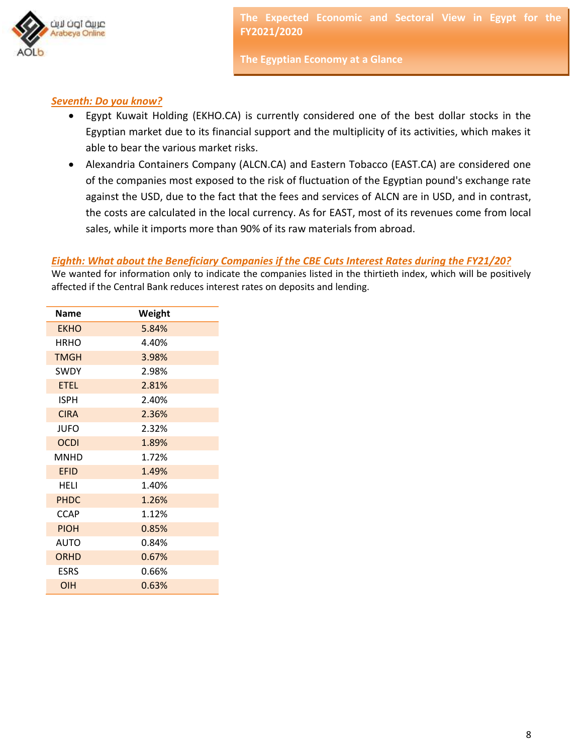

**The Egyptian Economy at a Glance**

### *Seventh: Do you know?*

- Egypt Kuwait Holding (EKHO.CA) is currently considered one of the best dollar stocks in the Egyptian market due to its financial support and the multiplicity of its activities, which makes it able to bear the various market risks.
- Alexandria Containers Company (ALCN.CA) and Eastern Tobacco (EAST.CA) are considered one of the companies most exposed to the risk of fluctuation of the Egyptian pound's exchange rate against the USD, due to the fact that the fees and services of ALCN are in USD, and in contrast, the costs are calculated in the local currency. As for EAST, most of its revenues come from local sales, while it imports more than 90% of its raw materials from abroad.

## *Eighth: What about the Beneficiary Companies if the CBE Cuts Interest Rates during the FY21/20?*

We wanted for information only to indicate the companies listed in the thirtieth index, which will be positively affected if the Central Bank reduces interest rates on deposits and lending.

| <b>Name</b> | Weight |  |  |
|-------------|--------|--|--|
| <b>EKHO</b> | 5.84%  |  |  |
| <b>HRHO</b> | 4.40%  |  |  |
| <b>TMGH</b> | 3.98%  |  |  |
| SWDY        | 2.98%  |  |  |
| <b>ETEL</b> | 2.81%  |  |  |
| <b>ISPH</b> | 2.40%  |  |  |
| <b>CIRA</b> | 2.36%  |  |  |
| JUFO        | 2.32%  |  |  |
| <b>OCDI</b> | 1.89%  |  |  |
| <b>MNHD</b> | 1.72%  |  |  |
| <b>EFID</b> | 1.49%  |  |  |
| HELI        | 1.40%  |  |  |
| <b>PHDC</b> | 1.26%  |  |  |
| <b>CCAP</b> | 1.12%  |  |  |
| <b>PIOH</b> | 0.85%  |  |  |
| AUTO        | 0.84%  |  |  |
| <b>ORHD</b> | 0.67%  |  |  |
| <b>ESRS</b> | 0.66%  |  |  |
| OIH         | 0.63%  |  |  |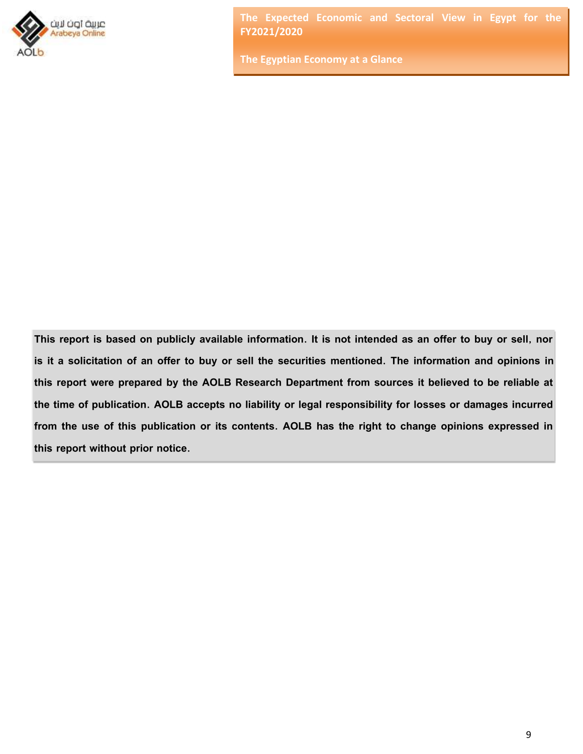

**The Egyptian Economy at a Glance**

**This report is based on publicly available information. It is not intended as an offer to buy or sell, nor is it a solicitation of an offer to buy or sell the securities mentioned. The information and opinions in this report were prepared by the AOLB Research Department from sources it believed to be reliable at the time of publication. AOLB accepts no liability or legal responsibility for losses or damages incurred from the use of this publication or its contents. AOLB has the right to change opinions expressed in this report without prior notice.**